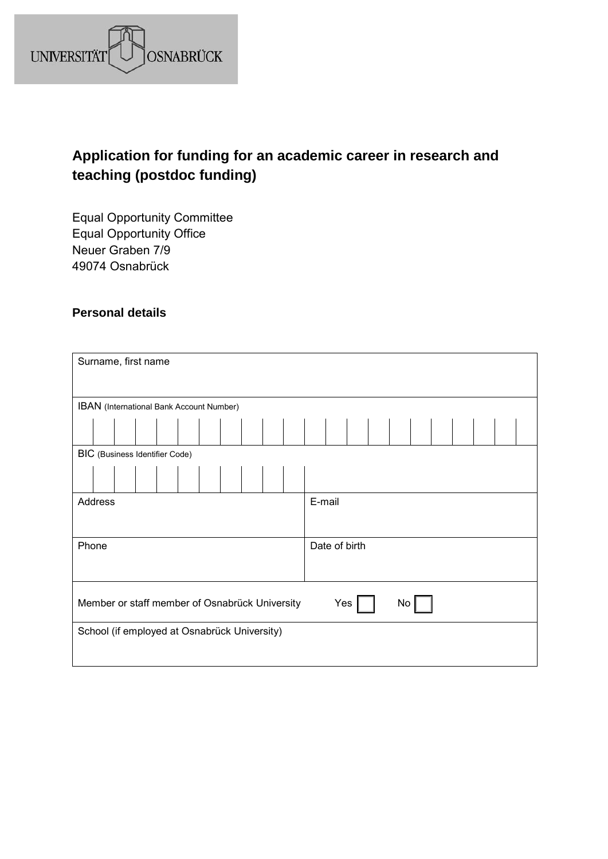

# **Application for funding for an academic career in research and teaching (postdoc funding)**

Equal Opportunity Committee Equal Opportunity Office Neuer Graben 7/9 49074 Osnabrück

### **Personal details**

| Surname, first name                            |               |
|------------------------------------------------|---------------|
|                                                |               |
| IBAN (International Bank Account Number)       |               |
|                                                |               |
| BIC (Business Identifier Code)                 |               |
|                                                |               |
| Address                                        | E-mail        |
|                                                |               |
| Phone                                          | Date of birth |
|                                                |               |
| Member or staff member of Osnabrück University | Yes<br>No     |
| School (if employed at Osnabrück University)   |               |
|                                                |               |
|                                                |               |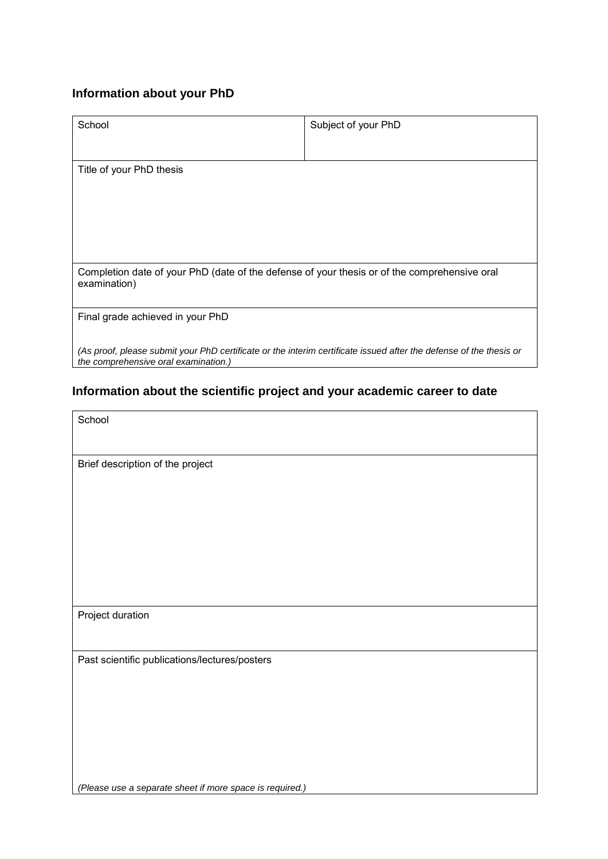### **Information about your PhD**

| School                                                                                                                                                     | Subject of your PhD |
|------------------------------------------------------------------------------------------------------------------------------------------------------------|---------------------|
| Title of your PhD thesis                                                                                                                                   |                     |
| Completion date of your PhD (date of the defense of your thesis or of the comprehensive oral<br>examination)                                               |                     |
| Final grade achieved in your PhD                                                                                                                           |                     |
| (As proof, please submit your PhD certificate or the interim certificate issued after the defense of the thesis or<br>the comprehensive oral examination.) |                     |

# **Information about the scientific project and your academic career to date**

| school |
|--------|
|--------|

Brief description of the project

Project duration

Past scientific publications/lectures/posters

*(Please use a separate sheet if more space is required.)*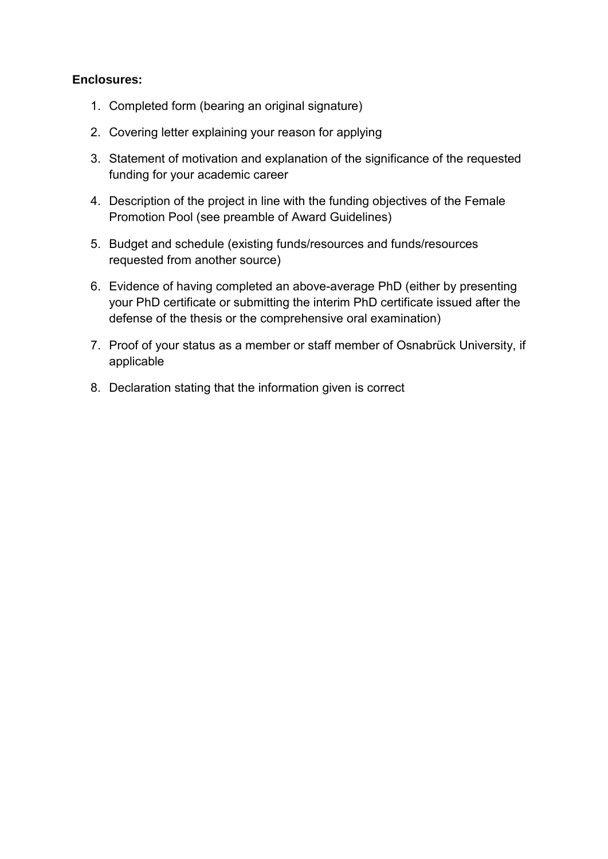### **Enclosures:**

- 1. Completed form (bearing an original signature)
- 2. Covering letter explaining your reason for applying
- 3. Statement of motivation and explanation of the significance of the requested funding for your academic career
- 4. Description of the project in line with the funding objectives of the Female Promotion Pool (see preamble of Award Guidelines)
- 5. Budget and schedule (existing funds/resources and funds/resources requested from another source)
- 6. Evidence of having completed an above-average PhD (either by presenting your PhD certificate or submitting the interim PhD certificate issued after the defense of the thesis or the comprehensive oral examination)
- 7. Proof of your status as a member or staff member of Osnabrück University, if applicable
- 8. Declaration stating that the information given is correct